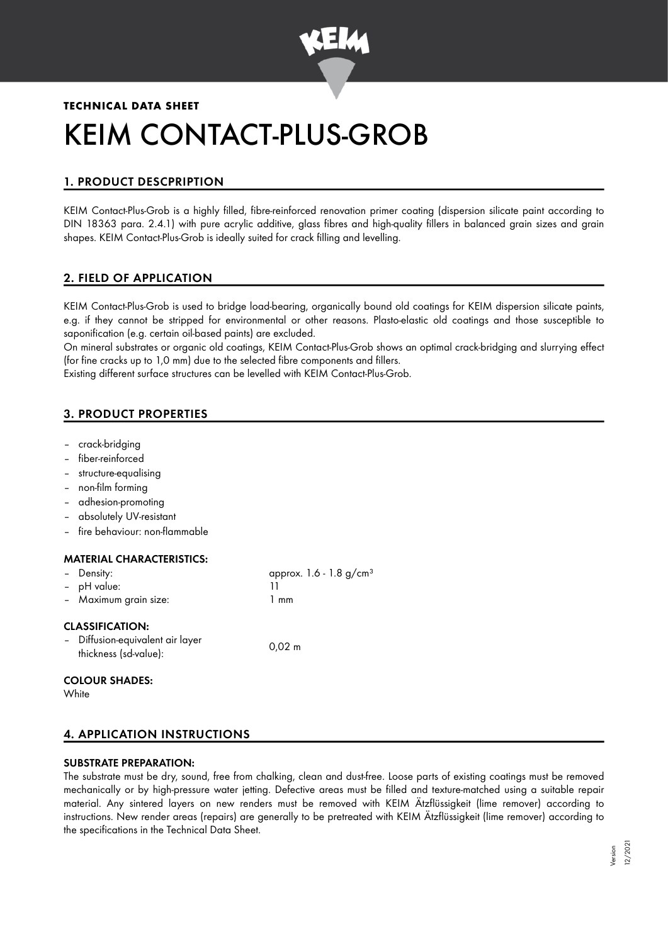

# **TECHNICAL DATA SHEET** KEIM CONTACT-PLUS-GROB

# 1. PRODUCT DESCPRIPTION

KEIM Contact-Plus-Grob is a highly filled, fibre-reinforced renovation primer coating (dispersion silicate paint according to DIN 18363 para. 2.4.1) with pure acrylic additive, glass fibres and high-quality fillers in balanced grain sizes and grain shapes. KEIM Contact-Plus-Grob is ideally suited for crack filling and levelling.

# 2. FIELD OF APPLICATION

KEIM Contact-Plus-Grob is used to bridge load-bearing, organically bound old coatings for KEIM dispersion silicate paints, e.g. if they cannot be stripped for environmental or other reasons. Plasto-elastic old coatings and those susceptible to saponification (e.g. certain oil-based paints) are excluded.

On mineral substrates or organic old coatings, KEIM Contact-Plus-Grob shows an optimal crack-bridging and slurrying effect (for fine cracks up to 1,0 mm) due to the selected fibre components and fillers.

Existing different surface structures can be levelled with KEIM Contact-Plus-Grob.

# 3. PRODUCT PROPERTIES

- crack-bridging
- fiber-reinforced
- structure-equalising
- non-film forming
- adhesion-promoting
- absolutely UV-resistant
- fire behaviour: non-flammable

## MATERIAL CHARACTERISTICS:

| - Density:                                                                          | approx. 1.6 - 1.8 g/cm <sup>3</sup> |
|-------------------------------------------------------------------------------------|-------------------------------------|
| - pH value:                                                                         | 11                                  |
| - Maximum grain size:                                                               | 1 mm                                |
| <b>CLASSIFICATION:</b><br>- Diffusion-equivalent air layer<br>thickness (sd-value): | $0.02 \; m$                         |

# COLOUR SHADES:

**White** 

# 4. APPLICATION INSTRUCTIONS

#### SUBSTRATE PREPARATION:

The substrate must be dry, sound, free from chalking, clean and dust-free. Loose parts of existing coatings must be removed mechanically or by high-pressure water jetting. Defective areas must be filled and texture-matched using a suitable repair material. Any sintered layers on new renders must be removed with KEIM Ätzflüssigkeit (lime remover) according to instructions. New render areas (repairs) are generally to be pretreated with KEIM Ätzflüssigkeit (lime remover) according to the specifications in the Technical Data Sheet.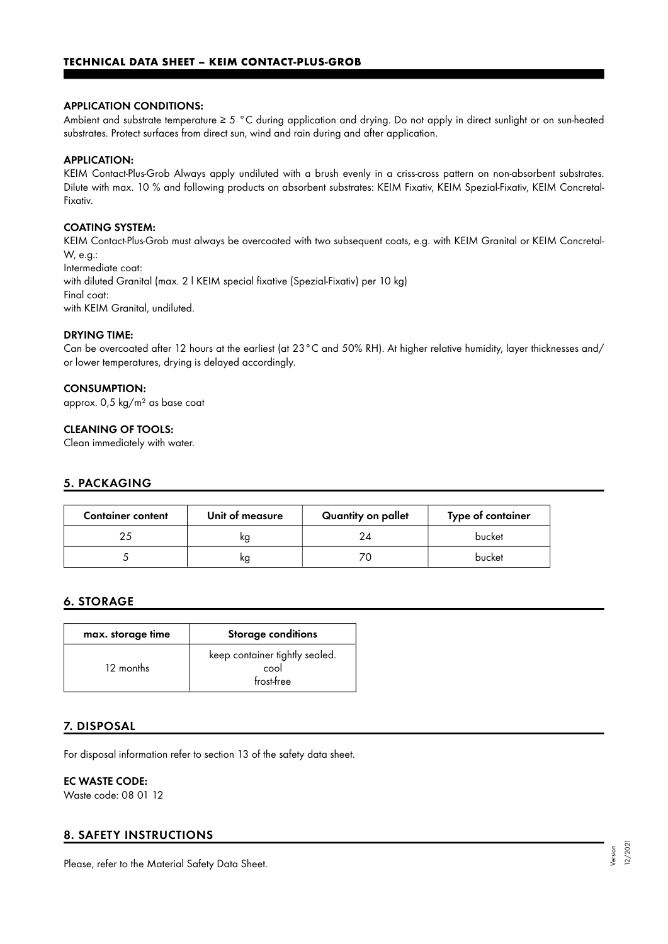#### APPLICATION CONDITIONS:

Ambient and substrate temperature ≥ 5 °C during application and drying. Do not apply in direct sunlight or on sun-heated substrates. Protect surfaces from direct sun, wind and rain during and after application.

#### APPLICATION:

KEIM Contact-Plus-Grob Always apply undiluted with a brush evenly in a criss-cross pattern on non-absorbent substrates. Dilute with max. 10 % and following products on absorbent substrates: KEIM Fixativ, KEIM Spezial-Fixativ, KEIM Concretal-Fixativ.

#### COATING SYSTEM:

KEIM Contact-Plus-Grob must always be overcoated with two subsequent coats, e.g. with KEIM Granital or KEIM Concretal-W, e.g.: Intermediate coat: with diluted Granital (max. 2 l KEIM special fixative (Spezial-Fixativ) per 10 kg) Final coat: with KEIM Granital, undiluted.

#### DRYING TIME:

Can be overcoated after 12 hours at the earliest (at 23°C and 50% RH). At higher relative humidity, layer thicknesses and/ or lower temperatures, drying is delayed accordingly.

#### CONSUMPTION:

approx. 0,5 kg/m² as base coat

#### CLEANING OF TOOLS:

Clean immediately with water.

#### 5. PACKAGING

| <b>Container content</b> | Unit of measure | Quantity on pallet | Type of container |
|--------------------------|-----------------|--------------------|-------------------|
|                          | ĸg              | 24                 | bucket            |
|                          | ĸg              |                    | bucket            |

## 6. STORAGE

| max. storage time | <b>Storage conditions</b>                            |
|-------------------|------------------------------------------------------|
| 12 months         | keep container tightly sealed.<br>cool<br>frost-free |

#### 7. DISPOSAL

For disposal information refer to section 13 of the safety data sheet.

# EC WASTE CODE:

Waste code: 08 01 12

#### 8. SAFETY INSTRUCTIONS

Please, refer to the Material Safety Data Sheet.